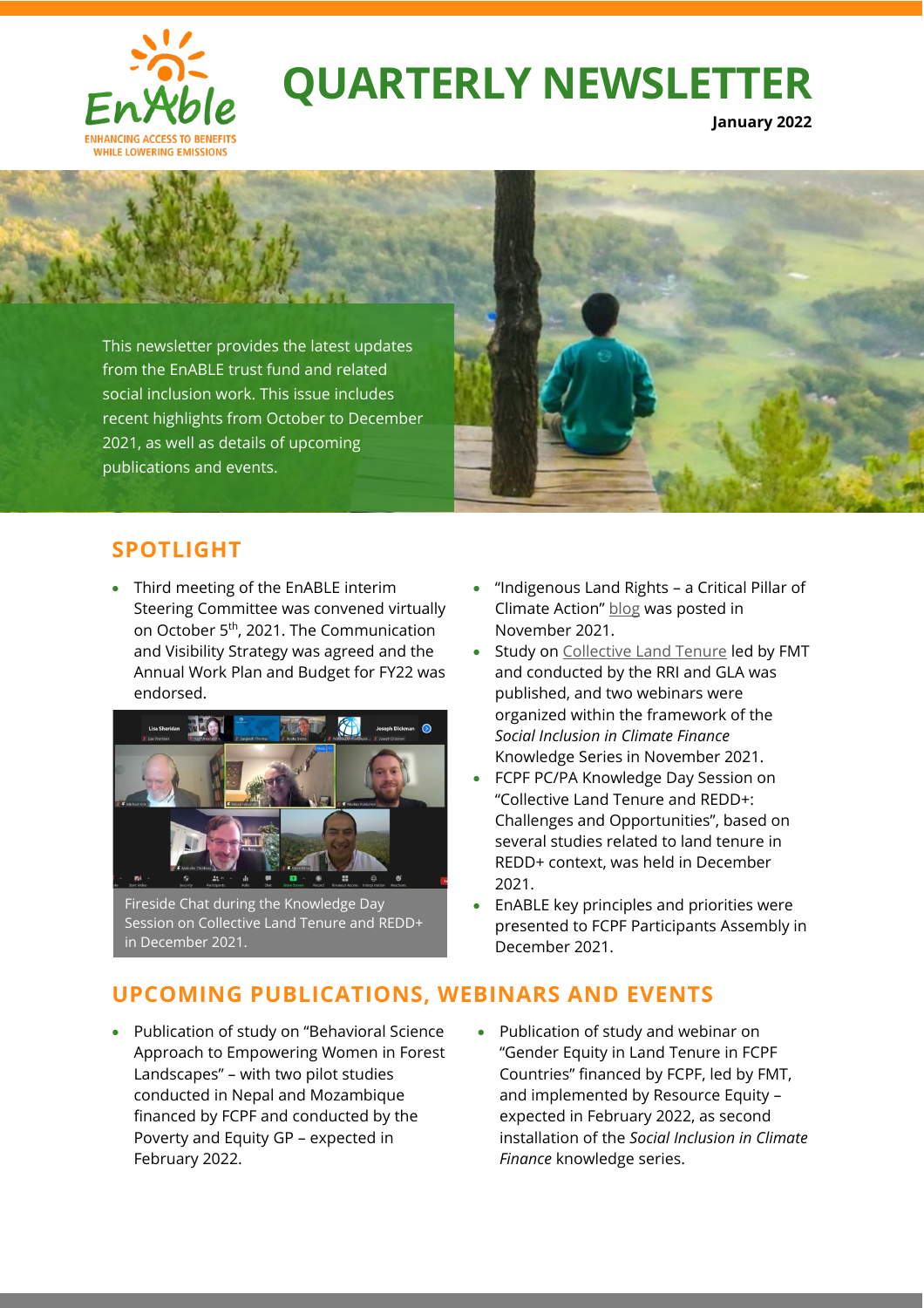

# **QUARTERLY NEWSLETTER**

**January 2022**



## **SPOTLIGHT**

• Third meeting of the EnABLE interim Steering Committee was convened virtually on October 5th, 2021. The Communication and Visibility Strategy was agreed and the Annual Work Plan and Budget for FY22 was endorsed.



Fireside Chat during the Knowledge Day Session on Collective Land Tenure and REDD+ in December 2021.

- "Indigenous Land Rights a Critical Pillar of Climate Action" [blog](https://blogs.worldbank.org/climatechange/indigenous-land-rights-critical-pillar-climate-action) was posted in November 2021.
- Study on [Collective Land Tenure](https://www.worldbank.org/en/topic/climatechange/brief/enable-enhancing-access-to-benefits-while-lowering-emission) led by FMT and conducted by the RRI and GLA was published, and two webinars were organized within the framework of the *Social Inclusion in Climate Finance* Knowledge Series in November 2021.
- FCPF PC/PA Knowledge Day Session on "Collective Land Tenure and REDD+: Challenges and Opportunities", based on several studies related to land tenure in REDD+ context, was held in December 2021.
- EnABLE key principles and priorities were presented to FCPF Participants Assembly in December 2021.

## **UPCOMING PUBLICATIONS, WEBINARS AND EVENTS**

- Publication of study on "Behavioral Science Approach to Empowering Women in Forest Landscapes" – with two pilot studies conducted in Nepal and Mozambique financed by FCPF and conducted by the Poverty and Equity GP – expected in February 2022.
- Publication of study and webinar on "Gender Equity in Land Tenure in FCPF Countries" financed by FCPF, led by FMT, and implemented by Resource Equity – expected in February 2022, as second installation of the *Social Inclusion in Climate Finance* knowledge series.